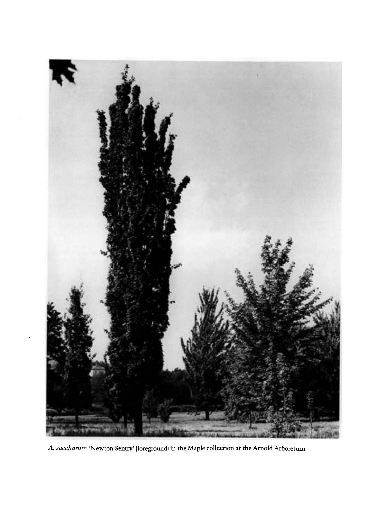

A. saccharum 'Newton Sentry' (foreground) in the Maple collection at the Arnold Arboretum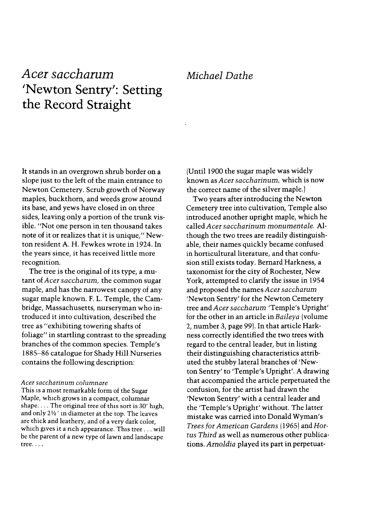## Acer saccharum 'Newton Sentry': Setting the Record Straight

## Michael Dathe

It stands in an overgrown shrub border on a slope just to the left of the main entrance to Newton Cemetery. Scrub growth of Norway maples, buckthorn, and weeds grow around its base, and yews have closed in on three sides, leaving only a portion of the trunk visible. "Not one person in ten thousand takes note of it or realizes that it is unique," Newton resident A. H. Fewkes wrote in 1924. In the years since, it has received little more recognition.

The tree is the original of its type, a mutant of Acer saccharum, the common sugar maple, and has the narrowest canopy of any sugar maple known. F. L. Temple, the Cambridge, Massachusetts, nurseryman who introduced it into cultivation, described the tree as "exhibiting towering shafts of foliage" in startling contrast to the spreading branches of the common species. Temple's 1885-86 catalogue for Shady Hill Nurseries contains the following description:

## Acer saccharinum columnare

This is a most remarkable form of the Sugar Maple, which grows in a compact, columnar shape.... The original tree of this sort is 30' high, and only  $2\frac{1}{2}$ ' in diameter at the top. The leaves are thick and leathery, and of a very dark color, which gives it a rich appearance. This tree ... will be the parent of a new type of lawn and landscape tree....

(Until 1900 the sugar maple was widely known as Acer saccharinum, which is now the correct name of the silver maple.) (

Two years after introducing the Newton Cemetery tree into cultivation, Temple also introduced another upright maple, which he called Acer saccharinum monumentale. Although the two trees are readily distinguishable, their names quickly became confused in horticultural literature, and that confusion still exists today. Bernard Harkness, a taxonomist for the city of Rochester, New York, attempted to clarify the issue in 1954 and proposed the names Acer saccharum 'Newton Sentry' for the Newton Cemetery tree and Acer saccharum 'Temple's Upright' for the other in an article in Baileya (volume 2, number 3, page 99). In that article Harkness correctly identified the two trees with regard to the central leader, but in listing their distinguishing characteristics attributed the stubby lateral branches of 'Newton Sentry' to 'Temple's Upright'. A drawing that accompanied the article perpetuated the confusion, for the artist had drawn the 'Newton Sentry' with a central leader and the 'Temple's Upright' without. The latter mistake was carried into Donald Wyman's Trees for American Gardens (1965) and Hortus Third as well as numerous other publications. Arnoldia played its part in perpetuat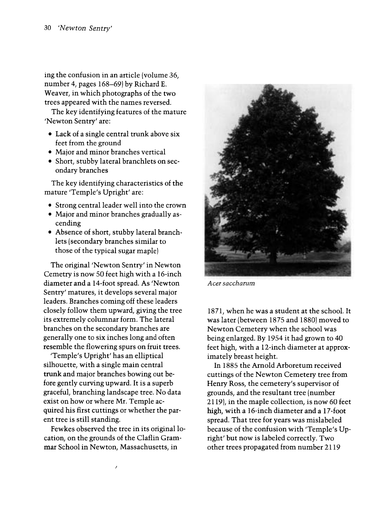ing the confusion in an article (volume 36, number 4, pages 168-69) by Richard E. Weaver, in which photographs of the two trees appeared with the names reversed.

The key identifying features of the mature 'Newton Sentry' are:

- · Lack of a single central trunk above six feet from the ground
- · Major and minor branches vertical
- · Short, stubby lateral branchlets on secondary branches

The key identifying characteristics of the mature 'Temple's Upright' are:

- · Strong central leader well into the crown
- · Major and minor branches gradually ascending
- · Absence of short, stubby lateral branchlets (secondary branches similar to those of the typical sugar maple) (

The original 'Newton Sentry' in Newton Cemetry is now 50 feet high with a 16-inch diameter and a 14-foot spread. As 'Newton Sentry' matures, it develops several major leaders. Branches coming off these leaders closely follow them upward, giving the tree its extremely columnar form. The lateral branches on the secondary branches are generally one to six inches long and often resemble the flowering spurs on fruit trees.

'Temple's Upright' has an elliptical silhouette, with a single main central trunk and major branches bowing out before gently curving upward. It is a superb graceful, branching landscape tree. No data exist on how or where Mr. Temple acquired his first cuttings or whether the parent tree is still standing.

Fewkes observed the tree in its original location, on the grounds of the Claflin Grammar School in Newton, Massachusetts, in



Acer saccharum

1871, when he was a student at the school. It was later (between 1875 and 1880) moved to Newton Cemetery when the school was being enlarged. By 1954 it had grown to 40 feet high, with a 12-inch diameter at approximately breast height.

In 1885 the Arnold Arboretum received cuttings of the Newton Cemetery tree from Henry Ross, the cemetery's supervisor of grounds, and the resultant tree (number 2119), in the maple collection, is now 60 feet high, with a 16-inch diameter and a 17-foot spread. That tree for years was mislabeled because of the confusion with 'Temple's Upright' but now is labeled correctly. Two other trees propagated from number 2119